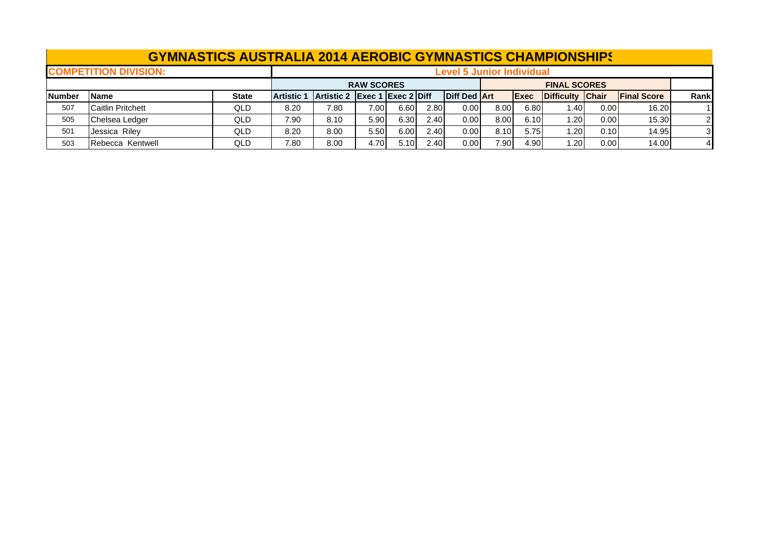|               | <b>GYMNASTICS AUSTRALIA 2014 AEROBIC GYMNASTICS CHAMPIONSHIPS</b> |              |                   |                                  |                             |      |      |              |      |              |                  |       |                     |          |  |
|---------------|-------------------------------------------------------------------|--------------|-------------------|----------------------------------|-----------------------------|------|------|--------------|------|--------------|------------------|-------|---------------------|----------|--|
|               | <b>COMPETITION DIVISION:</b>                                      |              |                   | <b>Level 5 Junior Individual</b> |                             |      |      |              |      |              |                  |       |                     |          |  |
|               |                                                                   |              |                   |                                  | <b>RAW SCORES</b>           |      |      |              |      |              |                  |       |                     |          |  |
| <b>Number</b> | <b>Name</b>                                                       | <b>State</b> | <b>Artistic 1</b> | <b>Artistic 2</b>                | $\left $ Exec 1 Exec 2 Diff |      |      | Diff Ded Art |      | <b>IExec</b> | Difficulty Chair |       | <b>IFinal Score</b> | Rankl    |  |
| 507           | <b>Caitlin Pritchett</b>                                          | QLD          | 8.20              | 7.80                             | 7.00                        | 6.60 | 2.80 | 0.001        | 8.00 | 6.80         | 1.40 l           | 0.001 | 16.20               |          |  |
| 505           | Chelsea Ledger                                                    | QLD          | 7.90              | 8.10                             | 5.90                        | 6.30 | 2.40 | 0.00         | 8.00 | 6.10         | 1.20             | 0.00  | 15.30               | 21       |  |
| 501           | Jessica Riley                                                     | QLD          | 8.20              | 8.00                             | 5.50                        | 6.00 | 2.40 | 0.001        | 8.10 | 5.75         | 1.20             | 0.101 | 14.95               | $3 \mid$ |  |
| 503           | Rebecca Kentwell                                                  | QLD          | 7.80              | 8.00                             | 4.70                        | 5.10 | 2.40 | 0.001        | 7.90 | 4.90         | 1.20             | 0.00  | 14.00               |          |  |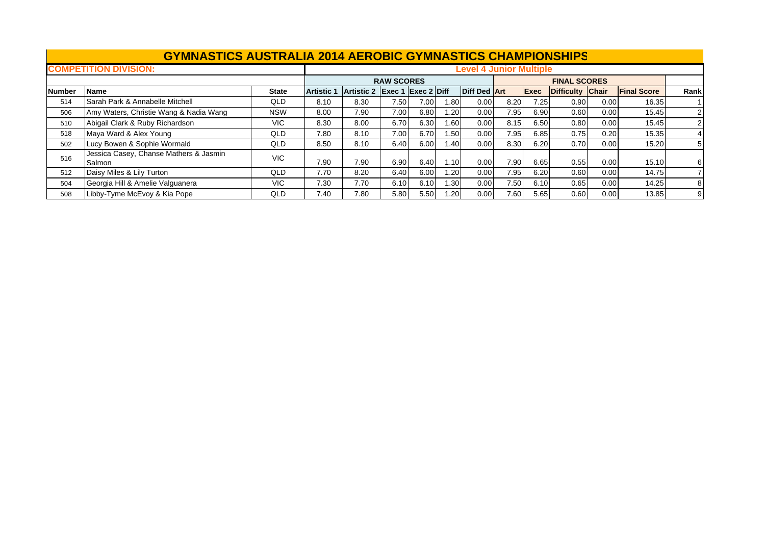## **GYMNASTICS AUSTRALIA 2014 AEROBIC GYMNASTICS CHAMPIONSHIP S**

|               | <b>COMPETITION DIVISION:</b>                     |              | <b>Level 4 Junior Multiple</b> |            |                             |      |                   |                     |      |             |                   |              |                    |                |  |
|---------------|--------------------------------------------------|--------------|--------------------------------|------------|-----------------------------|------|-------------------|---------------------|------|-------------|-------------------|--------------|--------------------|----------------|--|
|               |                                                  |              |                                |            | <b>RAW SCORES</b>           |      |                   |                     |      |             |                   |              |                    |                |  |
| <b>Number</b> | <b>Name</b>                                      | <b>State</b> | <b>Artistic 1</b>              | Artistic 2 | $\left $ Exec 1 Exec 2 Diff |      |                   | <b>Diff Ded Art</b> |      | <b>Exec</b> | <b>Difficulty</b> | <b>Chair</b> | <b>Final Score</b> | Rank           |  |
| 514           | lSarah Park & Annabelle Mitchell                 | QLD          | 8.10                           | 8.30       | 7.50                        | 7.00 | .80               | 0.00                | 8.20 | 7.25        | 0.90              | 0.00         | 16.35              |                |  |
| 506           | Amy Waters, Christie Wang & Nadia Wang           | <b>NSW</b>   | 8.00                           | 7.90       | 7.00                        | 6.80 | . 20              | 0.00                | 7.95 | 6.90        | 0.60              | 0.00         | 15.45              | 2 <sup>1</sup> |  |
| 510           | Abigail Clark & Ruby Richardson                  | VIC.         | 8.30                           | 8.00       | 6.70                        | 6.30 | 1.60 <sub>1</sub> | 0.00                | 8.15 | 6.50        | 0.80              | 0.00         | 15.45              | 2 <sub>l</sub> |  |
| 518           | Maya Ward & Alex Young                           | QLD          | 7.80                           | 8.10       | 7.00                        | 6.70 | 1.50              | 0.00                | 7.95 | 6.85        | 0.75              | 0.20         | 15.35              | 41             |  |
| 502           | Lucy Bowen & Sophie Wormald                      | QLD          | 8.50                           | 8.10       | 6.40                        | 6.00 | .40               | 0.00                | 8.30 | 6.20        | 0.70              | 0.00         | 15.20              | 51             |  |
| 516           | Jessica Casey, Chanse Mathers & Jasmin<br>Salmon | VIC          | 7.90                           | 7.90       | 6.90                        | 6.40 | 1.10              | 0.00                | 7.90 | 6.65        | 0.55              | 0.00         | 15.10              | 61             |  |
| 512           | Daisy Miles & Lily Turton                        | QLD          | 7.70                           | 8.20       | 6.40                        | 6.00 | .20 <sub>1</sub>  | 0.00                | 7.95 | 6.20        | 0.60              | 0.00         | 14.75              | 71             |  |
| 504           | Georgia Hill & Amelie Valguanera                 | VIC.         | 7.30                           | 7.70       | 6.10                        | 6.10 | 1.30              | 0.00                | 7.50 | 6.10        | 0.65              | 0.00         | 14.25              | 81             |  |
| 508           | Libby-Tyme McEvoy & Kia Pope                     | QLD          | 7.40                           | 7.80       | 5.80                        | 5.50 | .20               | 0.00                | 7.60 | 5.65        | 0.60              | 0.00         | 13.85              | 9              |  |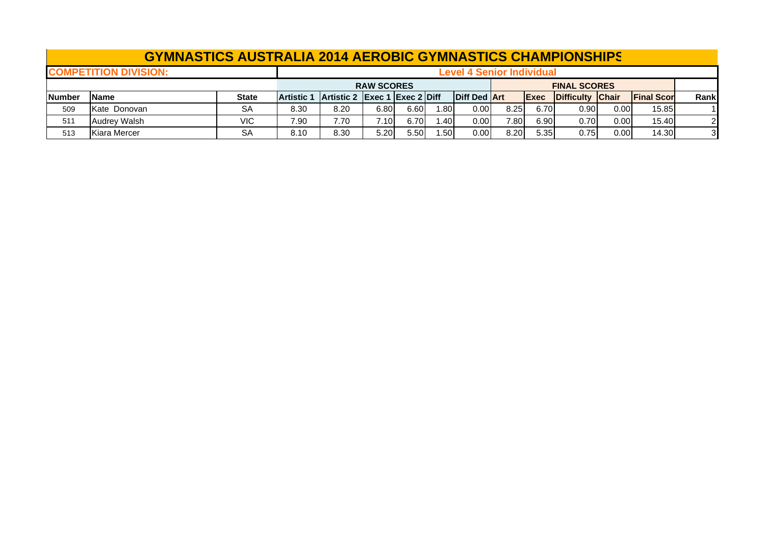|               | <b>GYMNASTICS AUSTRALIA 2014 AEROBIC GYMNASTICS CHAMPIONSHIPS</b> |              |                   |                                          |      |      |      |                     |      |              |                  |      |                     |       |  |
|---------------|-------------------------------------------------------------------|--------------|-------------------|------------------------------------------|------|------|------|---------------------|------|--------------|------------------|------|---------------------|-------|--|
|               | <b>COMPETITION DIVISION:</b>                                      |              |                   | <b>Level 4 Senior Individual</b>         |      |      |      |                     |      |              |                  |      |                     |       |  |
|               |                                                                   |              |                   | <b>RAW SCORES</b><br><b>FINAL SCORES</b> |      |      |      |                     |      |              |                  |      |                     |       |  |
| <b>Number</b> | <b>IName</b>                                                      | <b>State</b> | <b>Artistic 1</b> | Artistic 2 Exec 1 Exec 2 Diff            |      |      |      | <b>Diff Ded Art</b> |      | <b>IExec</b> | Difficulty Chair |      | <b>IFinal Score</b> | Rankl |  |
| 509           | Kate Donovan                                                      | <b>SA</b>    | 8.30              | 8.20                                     | 6.80 | 6.60 | 1.80 | 0.00                | 8.25 | 6.70         | 0.90             | 0.00 | 15.85               |       |  |
| 511           | <b>Audrey Walsh</b>                                               | <b>VIC</b>   | 7.90              | 7.70                                     | 7.10 | 6.70 | 1.40 | 0.00                | 7.80 | 6.90         | 0.70             | 0.00 | 15.40               | 2     |  |
| 513           | Kiara Mercer                                                      | <b>SA</b>    | 8.10              | 8.30                                     | 5.20 | 5.50 | 1.50 | 0.00                | 8.20 | 5.35         | 0.75             | 0.00 | 14.30               | 3     |  |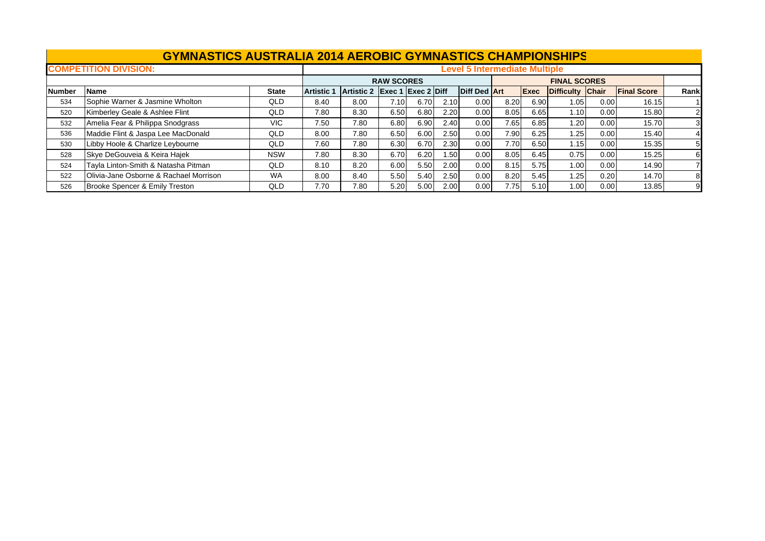|               | <b>GYMNASTICS AUSTRALIA 2014 AEROBIC GYMNASTICS CHAMPIONSHIPS</b> |              |                                      |            |                   |                                                |                  |                     |      |             |                     |      |                    |                |  |
|---------------|-------------------------------------------------------------------|--------------|--------------------------------------|------------|-------------------|------------------------------------------------|------------------|---------------------|------|-------------|---------------------|------|--------------------|----------------|--|
|               | <b>COMPETITION DIVISION:</b>                                      |              | <b>Level 5 Intermediate Multiple</b> |            |                   |                                                |                  |                     |      |             |                     |      |                    |                |  |
|               |                                                                   |              |                                      |            | <b>RAW SCORES</b> |                                                |                  |                     |      |             | <b>FINAL SCORES</b> |      |                    |                |  |
| <b>Number</b> | <b>Name</b>                                                       | <b>State</b> | <b>Artistic 1</b>                    | Artistic 2 |                   | $\left $ Exec 1 $\left $ Exec 2 $\right $ Diff |                  | <b>Diff Ded Art</b> |      | <b>Exec</b> | Difficulty Chair    |      | <b>Final Score</b> | Rank           |  |
| 534           | Sophie Warner & Jasmine Wholton                                   | QLD          | 8.40                                 | 8.00       | 7.10              | 6.70                                           | 2.10             | 0.00                | 8.20 | 6.90        | 1.05                | 0.00 | 16.15              |                |  |
| 520           | Kimberley Geale & Ashlee Flint                                    | QLD          | 7.80                                 | 8.30       | 6.50              | 6.80                                           | 2.20             | 0.00                | 8.05 | 6.65        | 1.10                | 0.00 | 15.80              |                |  |
| 532           | Amelia Fear & Philippa Snodgrass                                  | <b>VIC</b>   | 7.50                                 | 7.80       | 6.80              | 6.90                                           | 2.40             | 0.00                | 7.65 | 6.85        | 1.20                | 0.00 | 15.70              | $\overline{3}$ |  |
| 536           | Maddie Flint & Jaspa Lee MacDonald                                | QLD          | 8.00                                 | 7.80       | 6.50              | 6.00                                           | 2.50             | 0.00                | 7.90 | 6.25        | 1.25                | 0.00 | 15.40              | 4              |  |
| 530           | Libby Hoole & Charlize Leybourne                                  | QLD          | 7.60                                 | 7.80       | 6.30              | 6.70                                           | 2.30             | 0.00                | 7.70 | 6.50        | 1.15                | 0.00 | 15.35              |                |  |
| 528           | Skye DeGouveia & Keira Hajek                                      | <b>NSW</b>   | 7.80                                 | 8.30       | 6.70              | 6.20                                           | .50 <sub>1</sub> | 0.00                | 8.05 | 6.45        | 0.75                | 0.00 | 15.25              | 6              |  |
| 524           | Tayla Linton-Smith & Natasha Pitman                               | QLD          | 8.10                                 | 8.20       | 6.00              | 5.50                                           | 2.00             | 0.00                | 8.15 | 5.75        | 1.00                | 0.00 | 14.90              |                |  |
| 522           | Olivia-Jane Osborne & Rachael Morrison                            | <b>WA</b>    | 8.00                                 | 8.40       | 5.50              | 5.40                                           | 2.50             | 0.00                | 8.20 | 5.45        | 1.25                | 0.20 | 14.70              | 8              |  |
| 526           | Brooke Spencer & Emily Treston                                    | <b>QLD</b>   | 7.70                                 | 7.80       | 5.20              | 5.00                                           | 2.00             | 0.00                | 7.75 | 5.10        | 1.00                | 0.00 | 13.85              |                |  |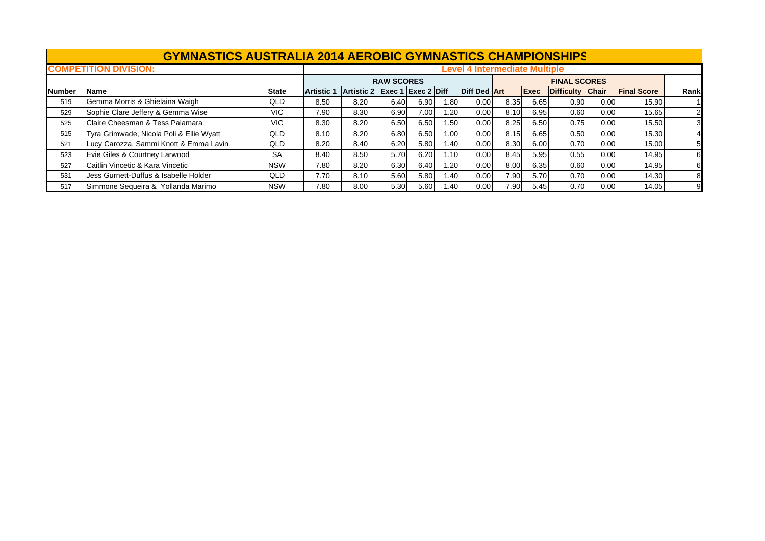|               | <b>GYMNASTICS AUSTRALIA 2014 AEROBIC GYMNASTICS CHAMPIONSHIPS</b> |              |                   |                               |                   |      |      |                                      |      |             |                  |      |                    |                |
|---------------|-------------------------------------------------------------------|--------------|-------------------|-------------------------------|-------------------|------|------|--------------------------------------|------|-------------|------------------|------|--------------------|----------------|
|               | <b>COMPETITION DIVISION:</b>                                      |              |                   |                               |                   |      |      | <b>Level 4 Intermediate Multiple</b> |      |             |                  |      |                    |                |
|               |                                                                   |              |                   |                               | <b>RAW SCORES</b> |      |      |                                      |      |             |                  |      |                    |                |
| <b>Number</b> | <b>Name</b>                                                       | <b>State</b> | <b>Artistic 1</b> | Artistic 2 Exec 1 Exec 2 Diff |                   |      |      | Diff Ded Art                         |      | <b>Exec</b> | Difficulty Chair |      | <b>Final Score</b> | Rank           |
| 519           | Gemma Morris & Ghielaina Waigh                                    | QLD          | 8.50              | 8.20                          | 6.40              | 6.90 | 1.80 | 0.00                                 | 8.35 | 6.65        | 0.90             | 0.00 | 15.90              |                |
| 529           | Sophie Clare Jeffery & Gemma Wise                                 | <b>VIC</b>   | 7.90              | 8.30                          | 6.90              | 7.00 | 1.20 | 0.00                                 | 8.10 | 6.95        | 0.60             | 0.00 | 15.65              |                |
| 525           | Claire Cheesman & Tess Palamara                                   | VIC.         | 8.30              | 8.20                          | 6.50              | 6.50 | 1.50 | 0.00                                 | 8.25 | 6.50        | 0.75             | 0.00 | 15.50              | 3              |
| 515           | Tyra Grimwade, Nicola Poli & Ellie Wyatt                          | QLD          | 8.10              | 8.20                          | 6.80              | 6.50 | 1.00 | 0.00                                 | 8.15 | 6.65        | 0.50             | 0.00 | 15.30              | $\overline{4}$ |
| 521           | Lucy Carozza, Sammi Knott & Emma Lavin                            | QLD          | 8.20              | 8.40                          | 6.20              | 5.80 | 1.40 | 0.00                                 | 8.30 | 6.00        | 0.70             | 0.00 | 15.00              | 5              |
| 523           | Evie Giles & Courtney Larwood                                     | <b>SA</b>    | 8.40              | 8.50                          | 5.70              | 6.20 | 1.10 | 0.00                                 | 8.45 | 5.95        | 0.55             | 0.00 | 14.95              |                |
| 527           | Caitlin Vincetic & Kara Vincetic                                  | <b>NSW</b>   | 7.80              | 8.20                          | 6.30              | 6.40 | 1.20 | 0.00                                 | 8.00 | 6.35        | 0.60             | 0.00 | 14.95              |                |
| 531           | Jess Gurnett-Duffus & Isabelle Holder                             | QLD          | 7.70              | 8.10                          | 5.60              | 5.80 | 1.40 | 0.00                                 | 7.90 | 5.70        | 0.70             | 0.00 | 14.30              | 8              |
| 517           | Simmone Sequeira & Yollanda Marimo                                | <b>NSW</b>   | 7.80              | 8.00                          | 5.30              | 5.60 | 1.40 | 0.00                                 | 7.90 | 5.45        | 0.70             | 0.00 | 14.05              |                |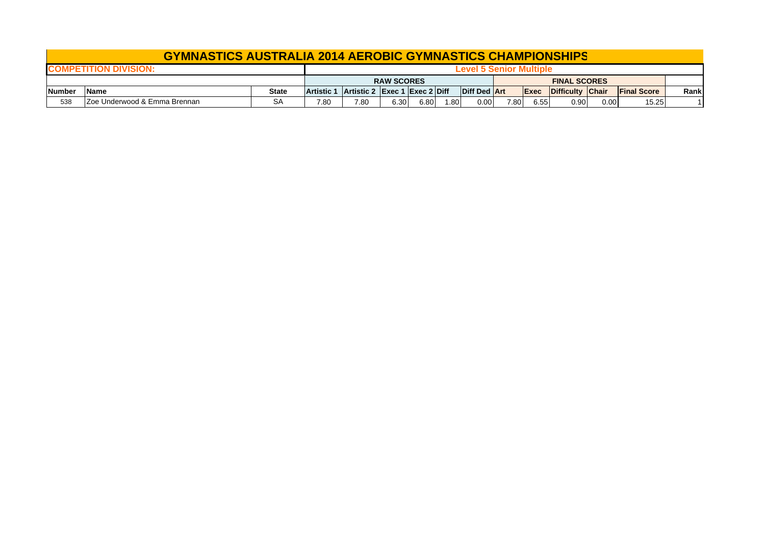## **GYMNASTICS AUSTRALIA 2014 AEROBIC GYMNASTICS CHAMPIONSHIP S**

|              | DIV                           |                   |            |                               |      |      |                  |              |                     |      |                   |      |                    |       |
|--------------|-------------------------------|-------------------|------------|-------------------------------|------|------|------------------|--------------|---------------------|------|-------------------|------|--------------------|-------|
|              |                               | <b>RAW SCORES</b> |            |                               |      |      |                  |              | <b>FINAL SCORES</b> |      |                   |      |                    |       |
| <b>Numbe</b> | Name                          | <b>State</b>      | Artistic 1 | Artistic 2 Exec 1 Exec 2 Diff |      |      |                  | Diff Ded Art |                     | Exec | Difficulty Chair  |      | <b>Final Score</b> | Rankl |
| 538          | IZoe Underwood & Emma Brennan | <b>SA</b>         | 7.80       | 7.80                          | 6.30 | 6.80 | .80 <sub>1</sub> | 0.00         | 7.80                | 6.55 | 0.90 <sub>1</sub> | 0.00 | 15.25              |       |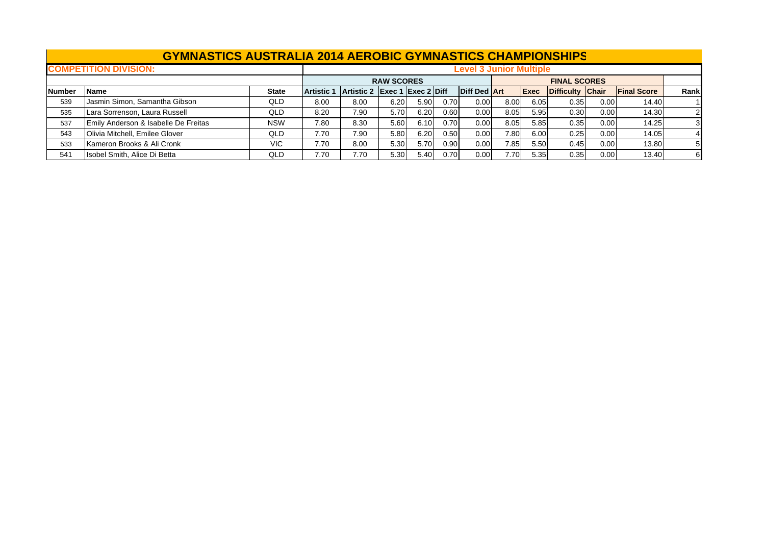|               | <b>COMPETITION DIVISION:</b>         |              |                   | <b>Level 3 Junior Multiple</b> |                   |      |      |                     |      |             |                     |      |                    |      |  |
|---------------|--------------------------------------|--------------|-------------------|--------------------------------|-------------------|------|------|---------------------|------|-------------|---------------------|------|--------------------|------|--|
|               |                                      |              |                   |                                | <b>RAW SCORES</b> |      |      |                     |      |             | <b>FINAL SCORES</b> |      |                    |      |  |
| <b>Number</b> | <b>Name</b>                          | <b>State</b> | <b>Artistic 1</b> | Artistic 2 Exec 1 Exec 2 Diff  |                   |      |      | <b>Diff Ded Art</b> |      | <b>Exec</b> | Difficulty Chair    |      | <b>Final Score</b> | Rank |  |
| 539           | Jasmin Simon, Samantha Gibson        | <b>QLD</b>   | 8.00              | 8.00                           | 6.20              | 5.90 | 0.70 | 0.00                | 8.00 | 6.05        | 0.35                | 0.00 | 14.40              |      |  |
| 535           | Lara Sorrenson, Laura Russell        | QLD          | 8.20              | 7.90                           | 5.70              | 6.20 | 0.60 | 0.00                | 8.05 | 5.95        | 0.30                | 0.00 | 14.30              |      |  |
| 537           | Emily Anderson & Isabelle De Freitas | <b>NSW</b>   | 7.80              | 8.30                           | 5.60              | 6.10 | 0.70 | 0.00                | 8.05 | 5.85        | 0.35                | 0.00 | 14.25              |      |  |
| 543           | Olivia Mitchell, Emilee Glover       | <b>QLD</b>   | 7.70              | 7.90                           | 5.80              | 6.20 | 0.50 | 0.00                | 7.80 | 6.00        | 0.25                | 0.00 | 14.05              |      |  |
| 533           | Kameron Brooks & Ali Cronk           | VIC.         | 7.70              | 8.00                           | 5.30              | 5.70 | 0.90 | 0.00                | 7.85 | 5.50        | 0.45                | 0.00 | 13.80              |      |  |
| 541           | Isobel Smith, Alice Di Betta         | QLD          | 7.70              | 7.70                           | 5.30              | 5.40 | 0.70 | 0.00                | 7.70 | 5.35        | 0.35                | 0.00 | 13.40              |      |  |